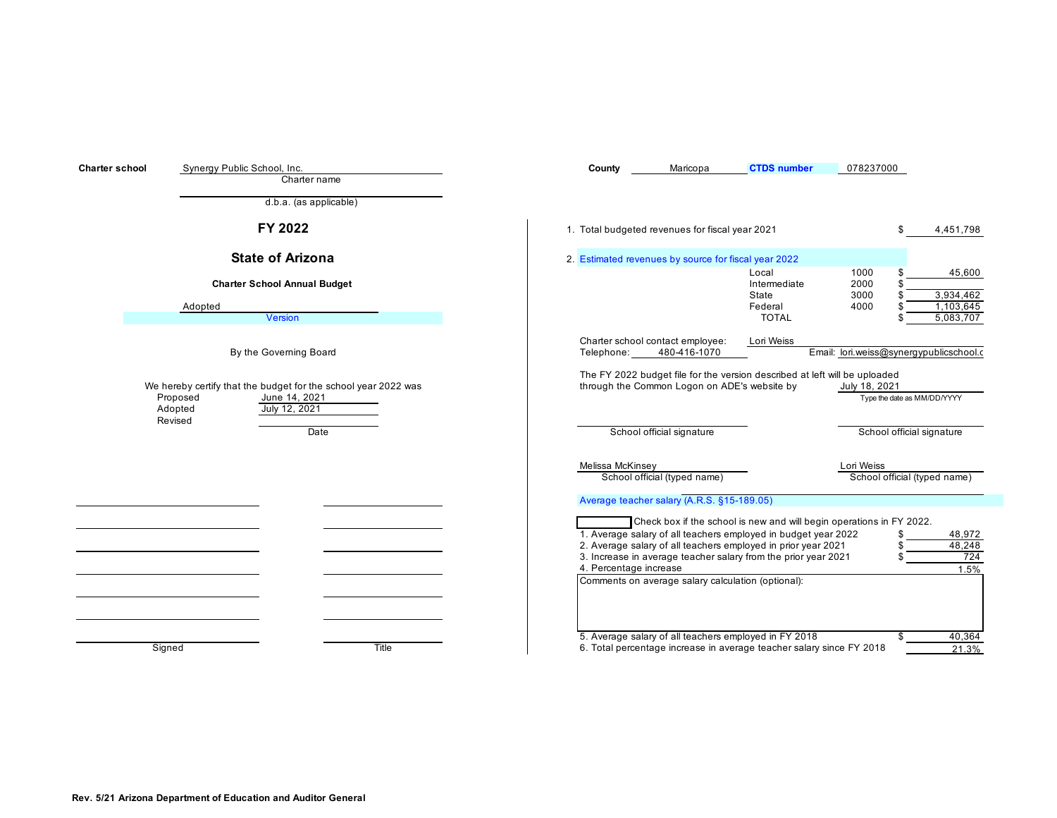| <b>Charter school</b> | Synergy Public School, Inc.<br>Charter name                                                                                        | County                 | Maricopa                                             | <b>CTDS</b> number                                                                                                                                                                                                                                                        | 078237000                                    |                                               |
|-----------------------|------------------------------------------------------------------------------------------------------------------------------------|------------------------|------------------------------------------------------|---------------------------------------------------------------------------------------------------------------------------------------------------------------------------------------------------------------------------------------------------------------------------|----------------------------------------------|-----------------------------------------------|
|                       | $\overline{d.b.a}$ . (as applicable)                                                                                               |                        |                                                      |                                                                                                                                                                                                                                                                           |                                              |                                               |
|                       | FY 2022                                                                                                                            |                        | 1. Total budgeted revenues for fiscal year 2021      |                                                                                                                                                                                                                                                                           |                                              | 4,451,798                                     |
|                       | <b>State of Arizona</b>                                                                                                            |                        | 2. Estimated revenues by source for fiscal year 2022 |                                                                                                                                                                                                                                                                           |                                              |                                               |
|                       | <b>Charter School Annual Budget</b><br>Adopted<br>Version                                                                          |                        |                                                      | Local<br>Intermediate<br>State<br>Federal<br><b>TOTAL</b>                                                                                                                                                                                                                 | 1000<br>2000<br>3000<br>4000                 | 45,600<br>3,934,462<br>1,103,645<br>5,083,707 |
|                       | By the Governing Board                                                                                                             | Telephone:             | Charter school contact employee:<br>480-416-1070     | Lori Weiss                                                                                                                                                                                                                                                                | Email: lori.weiss@synergypublicschool.c      |                                               |
|                       | We hereby certify that the budget for the school year 2022 was<br>Proposed<br>June 14, 2021<br>July 12, 2021<br>Adopted<br>Revised |                        | through the Common Logon on ADE's website by         | The FY 2022 budget file for the version described at left will be uploaded                                                                                                                                                                                                | July 18, 2021<br>Type the date as MM/DD/YYYY |                                               |
|                       | Date                                                                                                                               |                        | School official signature                            |                                                                                                                                                                                                                                                                           | School official signature                    |                                               |
|                       |                                                                                                                                    | Melissa McKinsey       |                                                      |                                                                                                                                                                                                                                                                           | Lori Weiss                                   |                                               |
|                       |                                                                                                                                    |                        | School official (typed name)                         |                                                                                                                                                                                                                                                                           | School official (typed name)                 |                                               |
|                       |                                                                                                                                    |                        | Average teacher salary (A.R.S. §15-189.05)           |                                                                                                                                                                                                                                                                           |                                              |                                               |
|                       |                                                                                                                                    | 4. Percentage increase | Comments on average salary calculation (optional):   | Check box if the school is new and will begin operations in FY 2022.<br>1. Average salary of all teachers employed in budget year 2022<br>2. Average salary of all teachers employed in prior year 2021<br>3. Increase in average teacher salary from the prior year 2021 |                                              | 48,972<br>48,248<br>724<br>1.5%               |
|                       | Title<br>Signed                                                                                                                    |                        |                                                      | 5. Average salary of all teachers employed in FY 2018<br>6. Total percentage increase in average teacher salary since FY 2018                                                                                                                                             | \$                                           | 40,364<br>21.3%                               |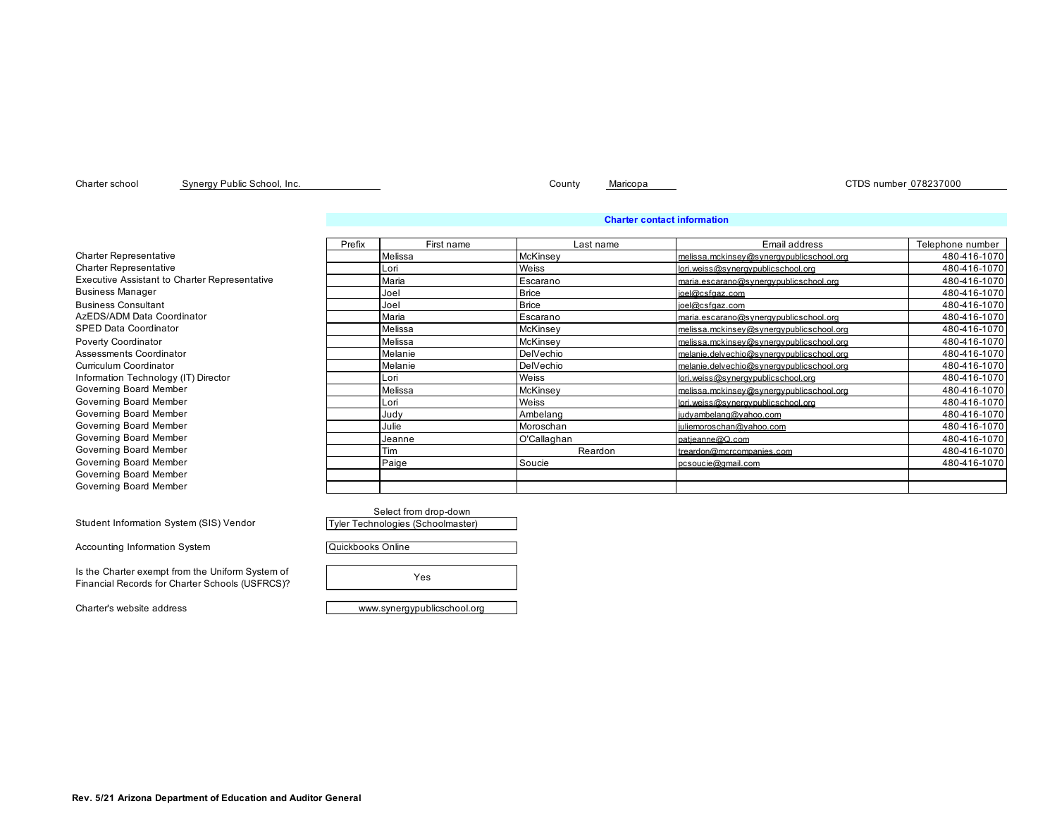Accounting Information System

Student Information System (SIS) Vendor

Is the Charter exempt from the Uniform System of Financial Records for Charter Schools (USFRCS)?

Charter school County Maricopa CTDS number 078237000 Synergy Public School, Inc.

## **Charter contact information**

|                                                      | Prefix | First name | Last name    | Email address                             | Telephone number |
|------------------------------------------------------|--------|------------|--------------|-------------------------------------------|------------------|
| <b>Charter Representative</b>                        |        | Melissa    | McKinsey     | melissa.mckinsev@svnergvpublicschool.org  | 480-416-1070     |
| <b>Charter Representative</b>                        |        | Lori       | Weiss        | lori.weiss@svneravpublicschool.org        | 480-416-1070     |
| <b>Executive Assistant to Charter Representative</b> |        | Maria      | Escarano     | maria.escarano@svnergvpublicschool.org    | 480-416-1070     |
| <b>Business Manager</b>                              |        | Joel       | <b>Brice</b> | ioel@csfgaz.com                           | 480-416-1070     |
| <b>Business Consultant</b>                           |        | Joel       | <b>Brice</b> | ioel@csfgaz.com                           | 480-416-1070     |
| AzEDS/ADM Data Coordinator                           |        | Maria      | Escarano     | maria.escarano@svnergvpublicschool.org    | 480-416-1070     |
| SPED Data Coordinator                                |        | Melissa    | McKinsev     | melissa.mckinsey@synergypublicschool.org  | 480-416-1070     |
| Poverty Coordinator                                  |        | Melissa    | McKinsey     | melissa.mckinsey@synergypublicschool.org  | 480-416-1070     |
| Assessments Coordinator                              |        | Melanie    | DelVechio    | melanie.delvechio@svnergvpublicschool.org | 480-416-1070     |
| Curriculum Coordinator                               |        | Melanie    | DelVechio    | melanie.delvechio@svnergvpublicschool.org | 480-416-1070     |
| Information Technology (IT) Director                 |        | Lori       | Weiss        | lori.weiss@svneravpublicschool.org        | 480-416-1070     |
| Governing Board Member                               |        | Melissa    | McKinsey     | melissa.mckinsev@svnergvpublicschool.org  | 480-416-1070     |
| Governing Board Member                               |        | Lori       | Weiss        | lori.weiss@svneravpublicschool.org        | 480-416-1070     |
| Governing Board Member                               |        | Judy       | Ambelang     | judvambelang@vahoo.com                    | 480-416-1070     |
| Governing Board Member                               |        | Julie      | Moroschan    | juliemoroschan@vahoo.com                  | 480-416-1070     |
| Governing Board Member                               |        | Jeanne     | O'Callaghan  | patieanne@Q.com                           | 480-416-1070     |
| Governing Board Member                               |        | Tim        | Reardon      | treardon@mcrcompanies.com                 | 480-416-1070     |
| Governing Board Member                               |        | Paige      | Soucie       | pcsoucie@gmail.com                        | 480-416-1070     |
| Governing Board Member                               |        |            |              |                                           |                  |
| Governing Board Member                               |        |            |              |                                           |                  |

Select from drop-down Tyler Technologies (Schoolmaster)

Quickbooks Online

Yes

Charter's website address example and the state www.synergypublicschool.org

**Rev. 5/21 Arizona Department of Education and Auditor General**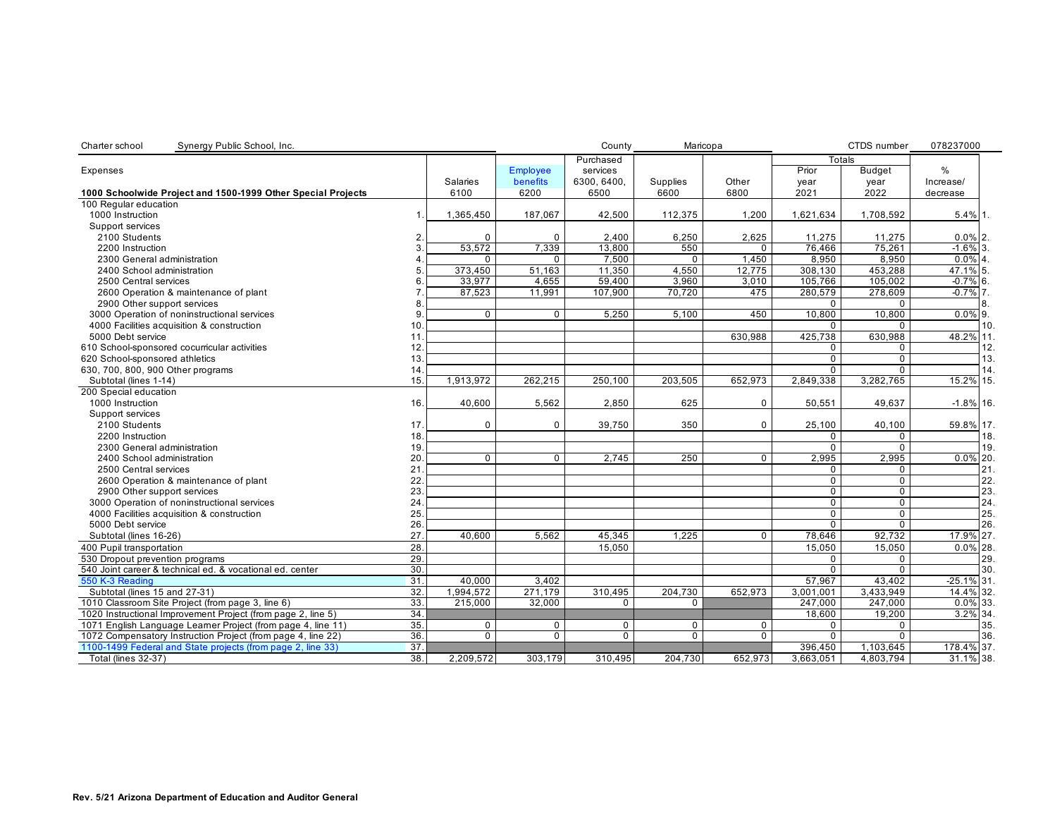| Synergy Public School, Inc.<br>Charter school                |             |             |                 | County       | Maricopa |              |                | CTDS number    | 078237000     |     |
|--------------------------------------------------------------|-------------|-------------|-----------------|--------------|----------|--------------|----------------|----------------|---------------|-----|
|                                                              |             |             |                 | Purchased    |          |              | Totals         |                |               |     |
| Expenses                                                     |             |             | <b>Employee</b> | services     |          |              | Prior          | <b>Budget</b>  | %             |     |
|                                                              |             | Salaries    | <b>benefits</b> | 6300.6400.   | Supplies | Other        | year           | year           | Increase/     |     |
| 1000 Schoolwide Project and 1500-1999 Other Special Projects |             | 6100        | 6200            | 6500         | 6600     | 6800         | 2021           | 2022           | decrease      |     |
| 100 Regular education                                        |             |             |                 |              |          |              |                |                |               |     |
| 1000 Instruction                                             | $\mathbf 1$ | 1,365,450   | 187.067         | 42,500       | 112,375  | 1,200        | 1,621,634      | 1.708.592      | $5.4\%$ 1.    |     |
| Support services                                             |             |             |                 |              |          |              |                |                |               |     |
| 2100 Students                                                | 2           | $\Omega$    | $\Omega$        | 2,400        | 6,250    | 2,625        | 11,275         | 11,275         | $0.0\%$ 2.    |     |
| 2200 Instruction                                             |             | 53,572      | 7,339           | 13.800       | 550      | 0            | 76,466         | 75,261         | $-1.6\%$ 3.   |     |
| 2300 General administration                                  |             | $\Omega$    | $\Omega$        | 7.500        | $\Omega$ | 1.450        | 8.950          | 8.950          | $0.0\%$ 4.    |     |
| 2400 School administration                                   | 5           | 373,450     | 51,163          | 11,350       | 4,550    | 12,775       | 308,130        | 453,288        | 47.1% 5.      |     |
| 2500 Central services                                        | 6           | 33.977      | 4.655           | 59.400       | 3.960    | 3,010        | 105,766        | 105.002        | $-0.7\%$ 6.   |     |
| 2600 Operation & maintenance of plant                        |             | 87,523      | 11.991          | 107.900      | 70.720   | 475          | 280.579        | 278.609        | $-0.7\%$ 7.   |     |
| 2900 Other support services                                  | 8           |             |                 |              |          |              | $\Omega$       | $\Omega$       |               | 8.  |
| 3000 Operation of noninstructional services                  | 9           | $\Omega$    | $\mathbf 0$     | 5,250        | 5,100    | 450          | 10,800         | 10,800         | $0.0\%$ 9.    |     |
| 4000 Facilities acquisition & construction                   | 10.         |             |                 |              |          |              | $\Omega$       | $\Omega$       |               | 10. |
| 5000 Debt service                                            | 11.         |             |                 |              |          | 630,988      | 425,738        | 630,988        | 48.2% 11.     |     |
| 610 School-sponsored cocurricular activities                 | 12.         |             |                 |              |          |              | 0              | 0              |               | 12. |
| 620 School-sponsored athletics                               | 13.         |             |                 |              |          |              | $\mathbf 0$    | 0              |               | 13. |
| 630, 700, 800, 900 Other programs                            | 14          |             |                 |              |          |              | 0              | $\Omega$       |               | 14. |
| Subtotal (lines 1-14)                                        | 15.         | 1,913,972   | 262,215         | 250,100      | 203,505  | 652,973      | 2,849,338      | 3,282,765      | 15.2% 15.     |     |
| 200 Special education                                        |             |             |                 |              |          |              |                |                |               |     |
| 1000 Instruction                                             | 16.         | 40,600      | 5,562           | 2,850        | 625      | $\mathbf{0}$ | 50,551         | 49,637         | $-1.8\%$ 16.  |     |
| Support services                                             |             |             |                 |              |          |              |                |                |               |     |
| 2100 Students                                                | 17.         | $\mathbf 0$ | $\mathbf 0$     | 39,750       | 350      | $\mathbf 0$  | 25,100         | 40,100         | 59.8% 17.     |     |
| 2200 Instruction                                             | 18.         |             |                 |              |          |              | 0              | $\Omega$       |               | 18. |
| 2300 General administration                                  | 19.         |             |                 |              |          |              | $\Omega$       | $\Omega$       |               | 19. |
| 2400 School administration                                   | 20.         | $\Omega$    | $\mathbf 0$     | 2,745        | 250      | $\mathbf 0$  | 2,995          | 2,995          | $0.0\%$ 20.   |     |
| 2500 Central services                                        | 21          |             |                 |              |          |              | 0              | 0              |               | 21. |
| 2600 Operation & maintenance of plant                        | 22.         |             |                 |              |          |              | $\Omega$       | $\Omega$       |               | 22. |
| 2900 Other support services                                  | 23.         |             |                 |              |          |              | $\mathbf 0$    | 0              |               | 23. |
| 3000 Operation of noninstructional services                  | 24          |             |                 |              |          |              | $\overline{0}$ | $\overline{0}$ |               | 24. |
| 4000 Facilities acquisition & construction                   | 25.         |             |                 |              |          |              | $\Omega$       | $\Omega$       |               | 25. |
| 5000 Debt service                                            | 26.         |             |                 |              |          |              | $\Omega$       | $\overline{0}$ |               | 26. |
| Subtotal (lines 16-26)                                       | 27          | 40,600      | 5,562           | 45,345       | 1,225    | 0            | 78,646         | 92,732         | 17.9% 27.     |     |
| 400 Pupil transportation                                     | 28.         |             |                 | 15,050       |          |              | 15,050         | 15,050         | $0.0\%$ 28.   |     |
| 530 Dropout prevention programs                              | 29.         |             |                 |              |          |              | 0              | $\mathbf 0$    |               | 29. |
| 540 Joint career & technical ed. & vocational ed. center     | 30.         |             |                 |              |          |              | $\Omega$       | $\Omega$       |               | 30. |
| 550 K-3 Reading                                              | 31          | 40,000      | 3,402           |              |          |              | 57,967         | 43,402         | $-25.1\%$ 31. |     |
| Subtotal (lines 15 and 27-31)                                | 32.         | 1,994,572   | 271.179         | 310,495      | 204,730  | 652,973      | 3,001,001      | 3.433.949      | $14.4\%$ 32.  |     |
|                                                              |             |             |                 |              |          |              |                |                |               |     |
| 1010 Classroom Site Project (from page 3, line 6)            | 33.<br>34.  | 215,000     | 32,000          | $\mathbf{0}$ | 0        |              | 247,000        | 247,000        | $0.0\%$ 33.   |     |
| 1020 Instructional Improvement Project (from page 2, line 5) |             |             |                 |              |          |              | 18,600         | 19,200         | 3.2% 34.      |     |
| 1071 English Language Learner Project (from page 4, line 11) | 35.         | $\mathbf 0$ | $\mathbf 0$     | $\Omega$     | $\Omega$ | $\mathbf 0$  | 0              | $\mathbf 0$    |               | 35. |
| 1072 Compensatory Instruction Project (from page 4, line 22) | 36.         | $\Omega$    | $\mathbf{0}$    | $\Omega$     | $\Omega$ | $\mathbf{0}$ | $\Omega$       | $\mathbf 0$    |               | 36. |
| 1100-1499 Federal and State projects (from page 2, line 33)  | 37          |             |                 |              |          |              | 396,450        | 1,103,645      | 178.4% 37.    |     |
| Total (lines 32-37)                                          | 38.         | 2,209,572   | 303.179         | 310.495      | 204.730  | 652.973      | 3,663,051      | 4.803.794      | 31.1% 38.     |     |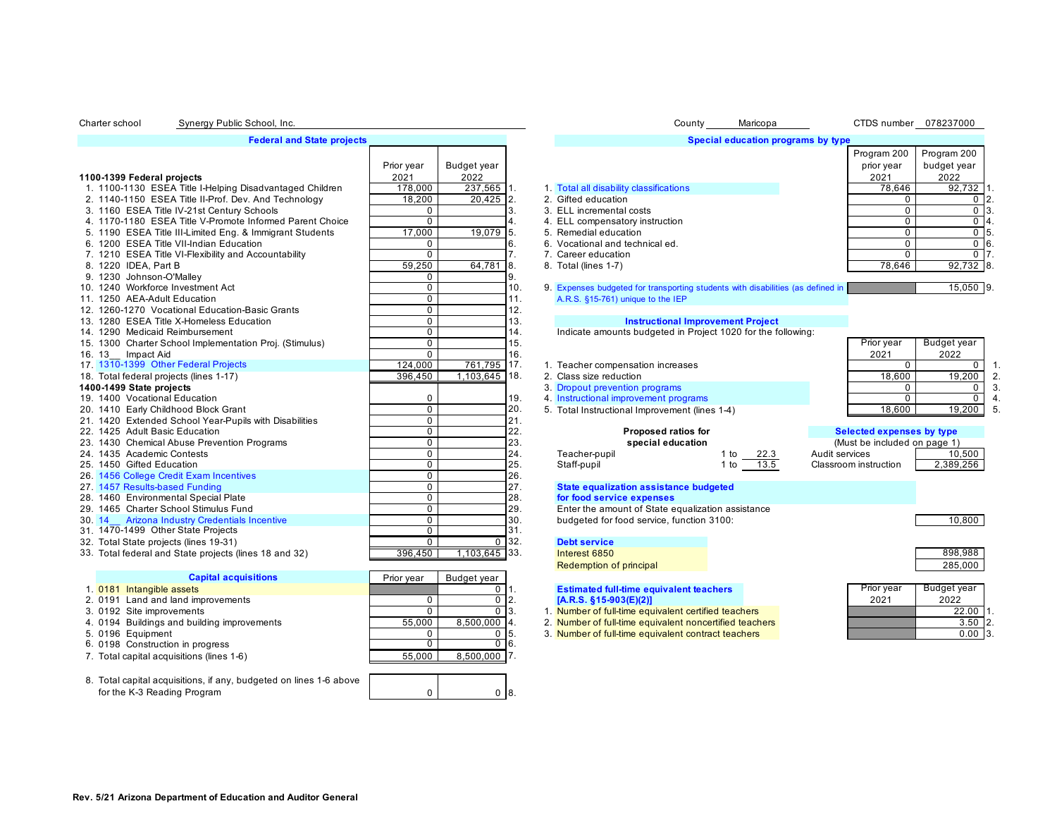# **Federal and State projects**

|                                                          | Prior year     | Budget year   |       |                                                                          |              |   |
|----------------------------------------------------------|----------------|---------------|-------|--------------------------------------------------------------------------|--------------|---|
| 1100-1399 Federal projects                               | 2021           | 2022          |       |                                                                          |              |   |
| 1. 1100-1130 ESEA Title I-Helping Disadvantaged Children | 178,000        | 237,565 1.    |       | 1. Total all disability classifications                                  |              |   |
| 2. 1140-1150 ESEA Title II-Prof. Dev. And Technology     | 18,200         | 20,425 2.     |       | 2. Gifted education                                                      |              |   |
| 3. 1160 ESEA Title IV-21st Century Schools               | $\Omega$       |               | 3.    | 3. ELL incremental costs                                                 |              |   |
| 4. 1170-1180 ESEA Title V-Promote Informed Parent Choice | $\Omega$       |               | 4.    | 4. ELL compensatory instruction                                          |              |   |
| 5. 1190 ESEA Title III-Limited Eng. & Immigrant Students | 17,000         | 19,079        | 5.    | 5. Remedial education                                                    |              |   |
| 6. 1200 ESEA Title VII-Indian Education                  | $\mathbf 0$    |               | 6.    | 6. Vocational and technical ed.                                          |              |   |
| 7. 1210 ESEA Title VI-Flexibility and Accountability     | $\mathbf 0$    |               | 7.    | 7. Career education                                                      |              |   |
| 8. 1220 IDEA, Part B                                     | 59,250         | 64,781 8.     |       | 8. Total (lines 1-7)                                                     |              |   |
| 9. 1230 Johnson-O'Malley                                 | 0              |               | 9.    |                                                                          |              |   |
| 10. 1240 Workforce Investment Act                        | $\mathbf 0$    |               | 10.   | 9. Expenses budgeted for transporting students with disabilities (as det |              |   |
| 11. 1250 AEA-Adult Education                             | $\Omega$       |               | 11.   | A.R.S. §15-761) unique to the IEP                                        |              |   |
| 12. 1260-1270 Vocational Education-Basic Grants          | $\mathbf 0$    |               | 12.   |                                                                          |              |   |
| 13. 1280 ESEA Title X-Homeless Education                 | $\Omega$       |               | 13.   | <b>Instructional Improvement Project</b>                                 |              |   |
| 14. 1290 Medicaid Reimbursement                          | $\mathbf 0$    |               | 14.   | Indicate amounts budgeted in Project 1020 for the following:             |              |   |
| 15. 1300 Charter School Implementation Proj. (Stimulus)  | $\Omega$       |               | 15.   |                                                                          |              |   |
| 16. 13_ Impact Aid                                       | $\Omega$       |               | 16.   |                                                                          |              |   |
| 17. 1310-1399 Other Federal Projects                     | 124,000        | 761,795 17.   |       | 1. Teacher compensation increases                                        |              |   |
| 18. Total federal projects (lines 1-17)                  | 396,450        | 1,103,645 18. |       | 2. Class size reduction                                                  |              |   |
| 1400-1499 State projects                                 |                |               |       | 3. Dropout prevention programs                                           |              |   |
| 19. 1400 Vocational Education                            | $\mathbf 0$    |               | 19.   | 4. Instructional improvement programs                                    |              |   |
| 20. 1410 Early Childhood Block Grant                     | $\mathbf 0$    |               | 20.   | 5. Total Instructional Improvement (lines 1-4)                           |              |   |
| 21. 1420 Extended School Year-Pupils with Disabilities   | $\mathbf 0$    |               | 21.   |                                                                          |              |   |
| 22. 1425 Adult Basic Education                           | $\overline{0}$ |               | 22.   | Proposed ratios for                                                      |              |   |
| 23. 1430 Chemical Abuse Prevention Programs              | $\Omega$       |               | 23.   | special education                                                        |              |   |
| 24. 1435 Academic Contests                               | $\Omega$       |               | 24.   | Teacher-pupil                                                            | 1 to<br>22.3 | A |
| 25. 1450 Gifted Education                                | $\mathbf 0$    |               | 25.   | Staff-pupil                                                              | 13.5<br>1 to | C |
| 26. 1456 College Credit Exam Incentives                  | $\mathbf 0$    |               | 26.   |                                                                          |              |   |
| 27. 1457 Results-based Funding                           | $\mathbf 0$    |               | 27.   | <b>State equalization assistance budgeted</b>                            |              |   |
| 28. 1460 Environmental Special Plate                     | $\Omega$       |               | 28.   | for food service expenses                                                |              |   |
| 29. 1465 Charter School Stimulus Fund                    | $\Omega$       |               | 29.   | Enter the amount of State equalization assistance                        |              |   |
| 30. 14 Arizona Industry Credentials Incentive            | $\mathbf 0$    |               | 30.   | budgeted for food service, function 3100:                                |              |   |
| 31. 1470-1499 Other State Projects                       | $\Omega$       |               | 31.   |                                                                          |              |   |
| 32. Total State projects (lines 19-31)                   | $\Omega$       |               | 0'32. | <b>Debt service</b>                                                      |              |   |
| 33. Total federal and State projects (lines 18 and 32)   | 396.450        | 1,103,645 33. |       | Interest 6850                                                            |              |   |

| <b>Capital acquisitions</b>                 | Prior year | Budget year     |                                                 |
|---------------------------------------------|------------|-----------------|-------------------------------------------------|
| 1. 0181 Intangible assets                   |            |                 | <b>Estimated full-time equivalent teachers</b>  |
| 2. 0191 Land and land improvements          |            | $0-2$ .         | $[A.R.S. §15-903(E)(2)]$                        |
| 3. 0192 Site improvements                   |            | $0 \, 3.$       | 1. Number of full-time equivalent certified tea |
| 4. 0194 Buildings and building improvements | 55.000     | $8.500.000$  4. | 2. Number of full-time equivalent noncertified  |
| 5. 0196 Equipment                           |            | $0\,$ 5.        | 3. Number of full-time equivalent contract tea  |
| 6. 0198 Construction in progress            |            | 0 16.           |                                                 |
| 7. Total capital acquisitions (lines 1-6)   | 55,000     | 8.500.000 7.    |                                                 |
|                                             |            |                 |                                                 |

8. Total capital acquisitions, if any, budgeted on lines 1-6 above for the K-3 Reading Program

| 0              |             | 12. |                 |
|----------------|-------------|-----|-----------------|
| 0              |             | 13. |                 |
| 0              |             | 14. | Indicate        |
| 0              |             | 15. |                 |
| 0              |             | 16. |                 |
| 124,000        | 761,795     | 17. | 1. Teacher      |
| 396,450        | 1,103,645   | 18. | 2. Class siz    |
|                |             |     | 3. Dropout      |
| 0              |             | 19. | 4. Instructio   |
| 0              |             | 20. | 5. Total Ins    |
| 0              |             | 21. |                 |
| 0              |             | 22. |                 |
| 0              |             | 23. |                 |
| 0              |             | 24. | Teacher-        |
| 0              |             | 25. | Staff-pup       |
| 0              |             | 26. |                 |
| 0              |             | 27. | State eq        |
| 0              |             | 28. | for food        |
| 0              |             | 29. | Enter the       |
| 0              |             | 30. | budgeter        |
| 0              |             | 31. |                 |
| 0              | 0           | 32. | <b>Debt ser</b> |
| 396,450        | 1.103,645   | 33. | Interest 6      |
|                |             |     | Redempt         |
| งr year        | Budget year |     |                 |
|                | 0           | 1.  | <b>Estimate</b> |
| 0              | 0           | 2.  | IA.R.S.         |
| 0              | $\Omega$    | 3.  | 1. Number       |
| 55,000         | 8,500,000   | 4.  | 2. Number       |
| 0              | 0           | 5.  | 3. Number       |
| $\overline{0}$ | 0           | 6.  |                 |
| 55,000         | 8,500,000   | 7.  |                 |
|                |             |     |                 |

0 8.

| Charter school | Synergy Public School, Inc.                              |                    |                     |                | County<br>Maricopa                                                              |                       |                                   | CTDS number 078237000              |                   |
|----------------|----------------------------------------------------------|--------------------|---------------------|----------------|---------------------------------------------------------------------------------|-----------------------|-----------------------------------|------------------------------------|-------------------|
|                | <b>Federal and State projects</b>                        |                    |                     |                | Special education programs by type                                              |                       |                                   |                                    |                   |
|                | 1100-1399 Federal projects                               | Prior year<br>2021 | Budget year<br>2022 |                |                                                                                 |                       | Program 200<br>prior year<br>2021 | Program 200<br>budget year<br>2022 |                   |
|                | 1. 1100-1130 ESEA Title I-Helping Disadvantaged Children | 178,000            | 237,565 1.          |                | 1. Total all disability classifications                                         |                       | 78,646                            | 92,732                             |                   |
|                | 2. 1140-1150 ESEA Title II-Prof. Dev. And Technology     | 18,200             | $20,425$ 2.         |                | 2. Gifted education                                                             |                       | $\Omega$                          | 0 <sup>2</sup>                     |                   |
|                | 3. 1160 ESEA Title IV-21st Century Schools               | $\mathbf 0$        | 3.                  |                | 3. ELL incremental costs                                                        |                       | $\Omega$                          | $\overline{0}$ 3.                  |                   |
|                | 4. 1170-1180 ESEA Title V-Promote Informed Parent Choice | $\Omega$           |                     | 4.             | 4. ELL compensatory instruction                                                 |                       | $\Omega$                          | $\overline{0}$   4.                |                   |
|                | 5. 1190 ESEA Title III-Limited Eng. & Immigrant Students | 17,000             | 19,079<br>5.        |                | 5. Remedial education                                                           |                       | $\Omega$                          | $\overline{0}$ 5.                  |                   |
|                | 6. 1200 ESEA Title VII-Indian Education                  | $\Omega$           | 16.                 |                | 6. Vocational and technical ed.                                                 |                       | $\overline{0}$                    | $0$ 6.                             |                   |
|                | 7. 1210 ESEA Title VI-Flexibility and Accountability     | $\overline{0}$     |                     | 7 <sub>1</sub> | 7. Career education                                                             |                       | $\overline{0}$                    |                                    | $\overline{0}$ 7. |
|                | 8. 1220 IDEA, Part B                                     | 59,250             | 64,781<br>8.        |                | 8. Total (lines 1-7)                                                            |                       | 78,646                            | $92,732$ 8.                        |                   |
|                | 9. 1230 Johnson-O'Malley                                 | $\mathbf 0$        |                     | 9.             |                                                                                 |                       |                                   |                                    |                   |
|                | 10. 1240 Workforce Investment Act                        | $\mathbf 0$        |                     | 10.            | 9. Expenses budgeted for transporting students with disabilities (as defined in |                       |                                   | $15,050$ 9.                        |                   |
|                | 11. 1250 AEA-Adult Education                             | $\Omega$           |                     | 11.            | A.R.S. §15-761) unique to the IEP                                               |                       |                                   |                                    |                   |
|                | 12. 1260-1270 Vocational Education-Basic Grants          | $\Omega$           |                     | 12.            |                                                                                 |                       |                                   |                                    |                   |
|                | 13. 1280 ESEA Title X-Homeless Education                 | $\Omega$           |                     | 13.            | <b>Instructional Improvement Project</b>                                        |                       |                                   |                                    |                   |
|                | 14. 1290 Medicaid Reimbursement                          | $\Omega$           |                     | 14.            | Indicate amounts budgeted in Project 1020 for the following:                    |                       |                                   |                                    |                   |
|                | 15. 1300 Charter School Implementation Proj. (Stimulus)  | $\Omega$           |                     | 15.            |                                                                                 |                       | Prior year                        | Budget year                        |                   |
|                | 16. 13 Impact Aid                                        | $\Omega$           |                     | 16.            |                                                                                 |                       | 2021                              | 2022                               |                   |
|                | 17. 1310-1399 Other Federal Projects                     | 124,000            | 761,795 17.         |                | 1. Teacher compensation increases                                               |                       | $\mathbf 0$                       | 0                                  | 1.                |
|                | 18. Total federal projects (lines 1-17)                  | 396,450            | $1,103,645$ 18.     |                | 2. Class size reduction                                                         |                       | 18,600                            | 19,200                             | 2.                |
|                | 1400-1499 State projects                                 |                    |                     |                | 3. Dropout prevention programs                                                  |                       | $\Omega$                          | 0                                  | 3                 |
|                | 19. 1400 Vocational Education                            | 0                  |                     | 19.            | 4. Instructional improvement programs                                           |                       | $\Omega$                          | $\mathbf 0$                        | $\Delta$          |
|                | 20. 1410 Early Childhood Block Grant                     | $\overline{0}$     |                     | 20.            | 5. Total Instructional Improvement (lines 1-4)                                  |                       | 18,600                            | 19,200                             | 5                 |
|                | 21. 1420 Extended School Year-Pupils with Disabilities   | $\overline{0}$     |                     | 21.            |                                                                                 |                       |                                   |                                    |                   |
|                | 22. 1425 Adult Basic Education                           | $\overline{0}$     |                     | 22.            | Proposed ratios for                                                             |                       | <b>Selected expenses by type</b>  |                                    |                   |
|                | 23. 1430 Chemical Abuse Prevention Programs              | $\overline{0}$     |                     | 23.            | special education                                                               |                       | (Must be included on page 1)      |                                    |                   |
|                | 24. 1435 Academic Contests                               | $\mathbf 0$        |                     | 24.            | Teacher-pupil<br>1 to<br>22.3                                                   | Audit services        |                                   | 10,500                             |                   |
|                | 25. 1450 Gifted Education                                | $\mathbf 0$        |                     | 25.            | Staff-pupil<br>13.5<br>$1$ to                                                   | Classroom instruction |                                   | 2,389,256                          |                   |
|                | 26. 1456 College Credit Exam Incentives                  | $\Omega$           |                     | 26.            |                                                                                 |                       |                                   |                                    |                   |
|                | 27. 1457 Results-based Funding                           | $\mathbf 0$        |                     | 27.            | <b>State equalization assistance budgeted</b>                                   |                       |                                   |                                    |                   |
|                | 28. 1460 Environmental Special Plate                     | $\mathbf 0$        |                     | 28.            | for food service expenses                                                       |                       |                                   |                                    |                   |
|                | 29. 1465 Charter School Stimulus Fund                    | $\mathbf 0$        |                     | 29.            | Enter the amount of State equalization assistance                               |                       |                                   |                                    |                   |
|                | 30. 14 Arizona Industry Credentials Incentive            | $\overline{0}$     |                     | 30.            | budgeted for food service, function 3100:                                       |                       |                                   | 10.800                             |                   |
|                | 31. 1470-1499 Other State Projects                       | $\mathbf 0$        |                     | 31.            |                                                                                 |                       |                                   |                                    |                   |
|                | 32. Total State projects (lines 19-31)                   | $\overline{0}$     | $0^{\circ}32.$      |                | <b>Debt service</b>                                                             |                       |                                   |                                    |                   |
|                | 33. Total federal and State projects (lines 18 and 32)   | 396,450            | 1,103,645 33.       |                | Interest 6850                                                                   |                       |                                   | 898,988                            |                   |
|                |                                                          |                    |                     |                | Redemption of principal                                                         |                       |                                   | 285,000                            |                   |
|                | <b>Capital acquisitions</b>                              | Prior year         | Budget year         |                |                                                                                 |                       |                                   |                                    |                   |
|                | 1. 0181 Intangible assets                                |                    | $0$ 1.              |                | <b>Estimated full-time equivalent teachers</b>                                  |                       | Prior year                        | <b>Budget year</b>                 |                   |
|                | 2. 0191 Land and land improvements                       | 0                  | $0\vert 2.$         |                | $[A.R.S. §15-903(E)(2)]$                                                        |                       | 2021                              | 2022                               |                   |
|                | 3. 0192 Site improvements                                | $\Omega$           | $0\vert 3.$         |                | 1. Number of full-time equivalent certified teachers                            |                       |                                   | $22.00$ 1.                         |                   |
|                | 4. 0194 Buildings and building improvements              | 55,000             | $8.500.000$ 4.      |                | 2. Number of full-time equivalent noncertified teachers                         |                       |                                   | $3.50$ 2.                          |                   |
|                | 5. 0196 Equipment                                        | $\mathbf 0$        | $\overline{0}$ 5.   |                | 3. Number of full-time equivalent contract teachers                             |                       |                                   | $0.00$ 3                           |                   |
|                | 6. 0198 Construction in progress                         | 0                  | $0$ 6.              |                |                                                                                 |                       |                                   |                                    |                   |
|                | 7. Total capital acquisitions (lines 1-6)                | 55.000             | $8.500.000$ 7.      |                |                                                                                 |                       |                                   |                                    |                   |
|                |                                                          |                    |                     |                |                                                                                 |                       |                                   |                                    |                   |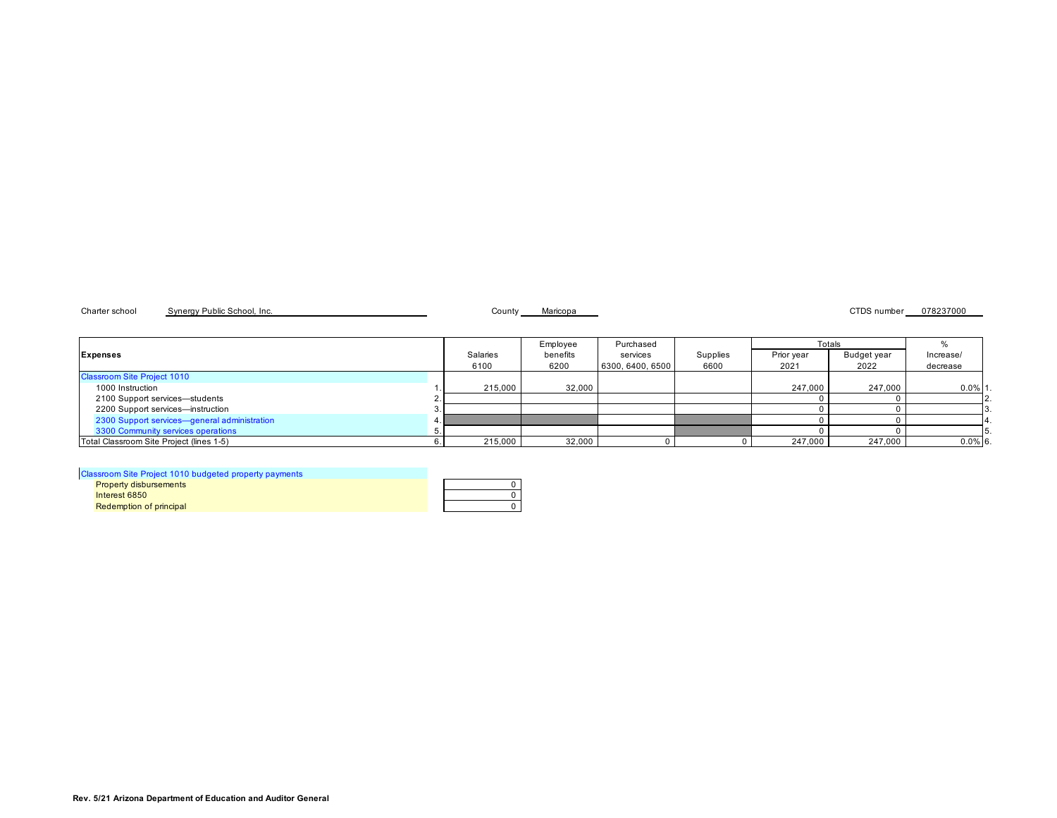Charter school Synergy Public School, Inc. Charter School, Inc. County Maricopa County Maricopa CTDS number 078237000

| <b>Expenses</b>                              | Salaries<br>6100 | Employee<br>benefits<br>6200 | Purchased<br>services<br>6300, 6400, 6500 | Supplies<br>6600 | Prior year<br>2021 | Totals<br>Budget year<br>2022 | Increase/<br>decrease |
|----------------------------------------------|------------------|------------------------------|-------------------------------------------|------------------|--------------------|-------------------------------|-----------------------|
| <b>Classroom Site Project 1010</b>           |                  |                              |                                           |                  |                    |                               |                       |
| 1000 Instruction                             | 215,000          | 32,000                       |                                           |                  | 247.000            | 247.000                       | $0.0\%$ 1             |
| 2100 Support services-students               |                  |                              |                                           |                  |                    |                               |                       |
| 2200 Support services-instruction            |                  |                              |                                           |                  |                    |                               |                       |
| 2300 Support services-general administration |                  |                              |                                           |                  |                    |                               |                       |
| 3300 Community services operations           |                  |                              |                                           |                  |                    |                               |                       |
| Total Classroom Site Project (lines 1-5)     | 215,000          | 32,000                       |                                           |                  | 247,000            | 247,000                       | $0.0\%$ 6.            |

# Classroom Site Project 1010 budgeted property payments

| <b>Property disbursements</b> |  |
|-------------------------------|--|
| Interest 6850                 |  |
| Redemption of principal       |  |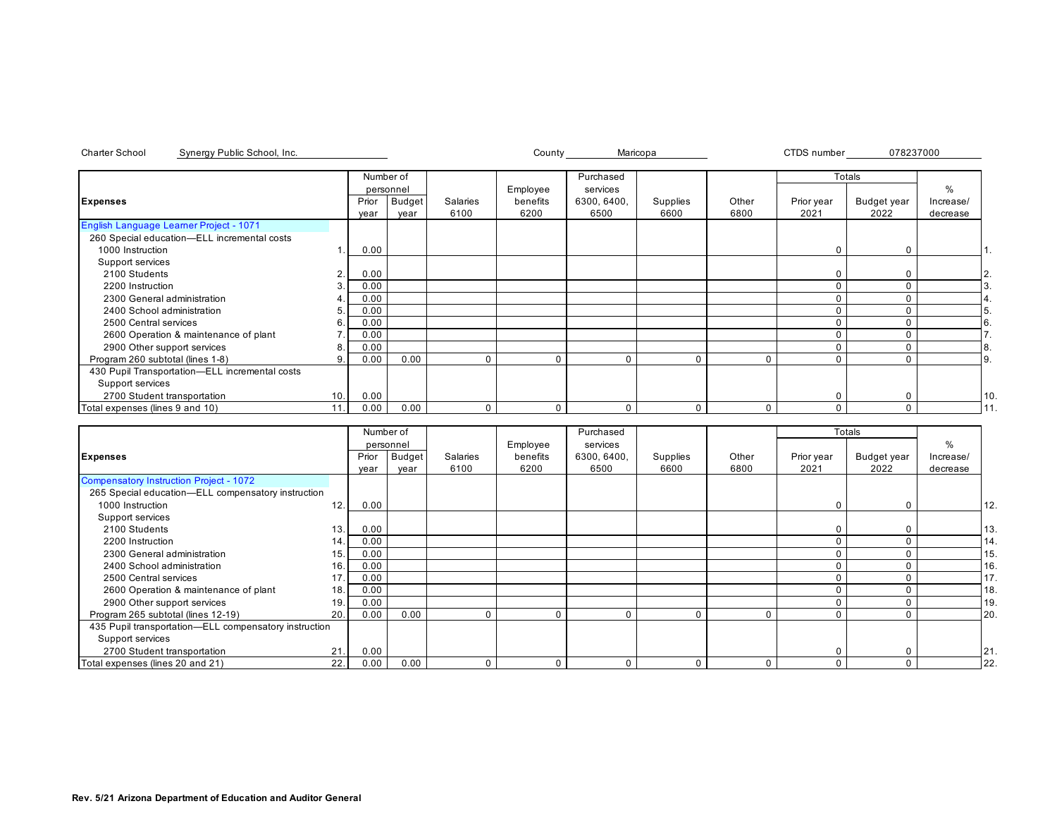|                                                |                |       | Number of     |          | Purchased |             |          |          | Totals     |             |           |     |
|------------------------------------------------|----------------|-------|---------------|----------|-----------|-------------|----------|----------|------------|-------------|-----------|-----|
|                                                |                |       | personnel     |          | Employee  | services    |          |          |            |             | $\%$      |     |
| <b>Expenses</b>                                |                | Prior | <b>Budget</b> | Salaries | benefits  | 6300, 6400, | Supplies | Other    | Prior year | Budget year | Increase/ |     |
|                                                |                | year  | year          | 6100     | 6200      | 6500        | 6600     | 6800     | 2021       | 2022        | decrease  |     |
| English Language Learner Project - 1071        |                |       |               |          |           |             |          |          |            |             |           |     |
| 260 Special education-ELL incremental costs    |                |       |               |          |           |             |          |          |            |             |           |     |
| 1000 Instruction                               |                | 0.00  |               |          |           |             |          |          | 0          | $\Omega$    |           |     |
| Support services                               |                |       |               |          |           |             |          |          |            |             |           |     |
| 2100 Students                                  | $\overline{2}$ | 0.00  |               |          |           |             |          |          |            |             |           | 2.  |
| 2200 Instruction                               |                | 0.00  |               |          |           |             |          |          | C          |             |           |     |
| 2300 General administration                    |                | 0.00  |               |          |           |             |          |          |            |             |           |     |
| 2400 School administration                     | 5              | 0.00  |               |          |           |             |          |          |            |             |           |     |
| 2500 Central services                          | 6              | 0.00  |               |          |           |             |          |          |            |             |           |     |
| 2600 Operation & maintenance of plant          |                | 0.00  |               |          |           |             |          |          |            |             |           |     |
| 2900 Other support services                    | 8              | 0.00  |               |          |           |             |          |          |            |             |           | 8.  |
| Program 260 subtotal (lines 1-8)               | 9              | 0.00  | 0.00          | $\Omega$ |           | $\Omega$    |          | $\Omega$ |            |             |           | Ι9. |
| 430 Pupil Transportation-ELL incremental costs |                |       |               |          |           |             |          |          |            |             |           |     |
| Support services                               |                |       |               |          |           |             |          |          |            |             |           |     |
| 2700 Student transportation                    | 10.            | 0.00  |               |          |           |             |          |          | C          |             |           | 10  |
| Total expenses (lines 9 and 10)                | 11.            | 0.00  | 0.00          | $\Omega$ |           | 0           |          | 0        |            |             |           |     |

|                                                       |     |       | Number of |          |          | Purchased   |          |       |            | Totals      |           |     |
|-------------------------------------------------------|-----|-------|-----------|----------|----------|-------------|----------|-------|------------|-------------|-----------|-----|
|                                                       |     |       | personnel |          | Employee | services    |          |       |            |             | %         |     |
| <b>Expenses</b>                                       |     | Prior | Budget    | Salaries | benefits | 6300, 6400, | Supplies | Other | Prior year | Budget year | Increase/ |     |
|                                                       |     | year  | year      | 6100     | 6200     | 6500        | 6600     | 6800  | 2021       | 2022        | decrease  |     |
| Compensatory Instruction Project - 1072               |     |       |           |          |          |             |          |       |            |             |           |     |
| 265 Special education-ELL compensatory instruction    |     |       |           |          |          |             |          |       |            |             |           |     |
| 1000 Instruction                                      | 12. | 0.00  |           |          |          |             |          |       | $\Omega$   | 0           |           | 12. |
| Support services                                      |     |       |           |          |          |             |          |       |            |             |           |     |
| 2100 Students                                         | 13. | 0.00  |           |          |          |             |          |       |            |             |           | 13. |
| 2200 Instruction                                      | 14. | 0.00  |           |          |          |             |          |       |            |             |           | 14. |
| 2300 General administration                           | 15. | 0.00  |           |          |          |             |          |       |            |             |           | 15. |
| 2400 School administration                            | 16. | 0.00  |           |          |          |             |          |       |            |             |           | 16. |
| 2500 Central services                                 | 17. | 0.00  |           |          |          |             |          |       |            |             |           | 17. |
| 2600 Operation & maintenance of plant                 | 18. | 0.00  |           |          |          |             |          |       |            |             |           | 18. |
| 2900 Other support services                           | 19. | 0.00  |           |          |          |             |          |       |            |             |           | 19. |
| Program 265 subtotal (lines 12-19)                    | 20. | 0.00  | 0.00      |          | $\Omega$ |             | 0        | 0     | $\Omega$   | n           |           | 20. |
| 435 Pupil transportation-ELL compensatory instruction |     |       |           |          |          |             |          |       |            |             |           |     |
| Support services                                      |     |       |           |          |          |             |          |       |            |             |           |     |
| 2700 Student transportation                           | 21. | 0.00  |           |          |          |             |          |       |            |             |           | 21  |
| Total expenses (lines 20 and 21)                      | 22. | 0.00  | 0.00      |          | $\Omega$ |             | $\Omega$ | 0     | $\Omega$   | $\Omega$    |           | 22. |

Charter School County CTDS number Synergy Public School, Inc. Maricopa 078237000

**Rev. 5/21 Arizona Department of Education and Auditor General**